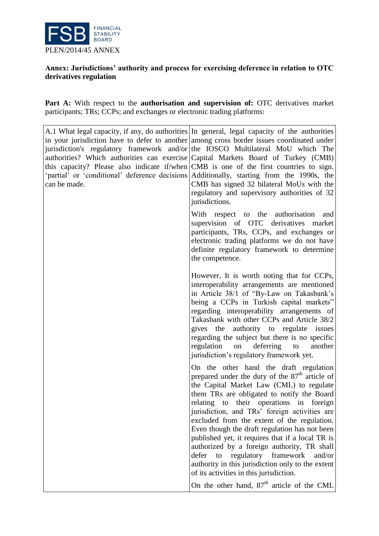

## **Annex: Jurisdictions' authority and process for exercising deference in relation to OTC derivatives regulation**

Part A: With respect to the **authorisation and supervision of:** OTC derivatives market participants; TRs; CCPs; and exchanges or electronic trading platforms:

| can be made. | A.1 What legal capacity, if any, do authorities In general, legal capacity of the authorities<br>in your jurisdiction have to defer to another among cross border issues coordinated under<br>jurisdiction's regulatory framework and/or the IOSCO Multilateral MoU which The<br>authorities? Which authorities can exercise Capital Markets Board of Turkey (CMB)<br>this capacity? Please also indicate if/when CMB is one of the first countries to sign.<br>'partial' or 'conditional' deference decisions Additionally, starting from the 1990s, the<br>CMB has signed 32 bilateral MoUs with the<br>regulatory and supervisory authorities of 32<br>jurisdictions. |
|--------------|--------------------------------------------------------------------------------------------------------------------------------------------------------------------------------------------------------------------------------------------------------------------------------------------------------------------------------------------------------------------------------------------------------------------------------------------------------------------------------------------------------------------------------------------------------------------------------------------------------------------------------------------------------------------------|
|              | With respect to the authorisation<br>and<br>supervision of OTC derivatives market<br>participants, TRs, CCPs, and exchanges or<br>electronic trading platforms we do not have<br>definite regulatory framework to determine<br>the competence.                                                                                                                                                                                                                                                                                                                                                                                                                           |
|              | However, It is worth noting that for CCPs,<br>interoperability arrangements are mentioned<br>in Article 38/1 of "By-Law on Takasbank's<br>being a CCPs in Turkish capital markets"<br>regarding interoperability arrangements of<br>Takasbank with other CCPs and Article 38/2<br>gives the authority to regulate issues<br>regarding the subject but there is no specific<br>regulation on<br>deferring<br>another<br>to<br>jurisdiction's regulatory framework yet.                                                                                                                                                                                                    |
|              | On the other hand the draft regulation<br>prepared under the duty of the 87 <sup>th</sup> article of<br>the Capital Market Law (CML) to regulate<br>them TRs are obligated to notify the Board<br>relating to their operations in foreign<br>jurisdiction, and TRs' foreign activities are<br>excluded from the extent of the regulation.<br>Even though the draft regulation has not been<br>published yet, it requires that if a local TR is<br>authorized by a foreign authority, TR shall<br>regulatory framework<br>defer<br>to<br>and/or<br>authority in this jurisdiction only to the extent<br>of its activities in this jurisdiction.                           |
|              | On the other hand, $87th$ article of the CML                                                                                                                                                                                                                                                                                                                                                                                                                                                                                                                                                                                                                             |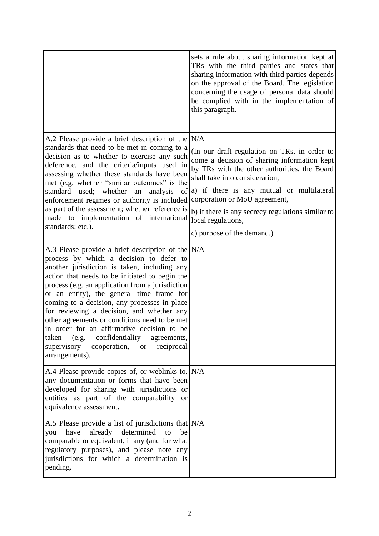|                                                                                                                                                                                                                                                                                                                                                                                                                                                                                                                                                                                                                               | sets a rule about sharing information kept at<br>TRs with the third parties and states that<br>sharing information with third parties depends<br>on the approval of the Board. The legislation<br>concerning the usage of personal data should<br>be complied with in the implementation of<br>this paragraph.                                                       |
|-------------------------------------------------------------------------------------------------------------------------------------------------------------------------------------------------------------------------------------------------------------------------------------------------------------------------------------------------------------------------------------------------------------------------------------------------------------------------------------------------------------------------------------------------------------------------------------------------------------------------------|----------------------------------------------------------------------------------------------------------------------------------------------------------------------------------------------------------------------------------------------------------------------------------------------------------------------------------------------------------------------|
| A.2 Please provide a brief description of the $N/A$<br>standards that need to be met in coming to a<br>decision as to whether to exercise any such<br>deference, and the criteria/inputs used in<br>assessing whether these standards have been<br>met (e.g. whether "similar outcomes" is the<br>standard used; whether an<br>analysis<br>of<br>enforcement regimes or authority is included<br>as part of the assessment; whether reference is<br>made to implementation of international<br>standards; etc.).                                                                                                              | (In our draft regulation on TRs, in order to<br>come a decision of sharing information kept<br>by TRs with the other authorities, the Board<br>shall take into consideration,<br>a) if there is any mutual or multilateral<br>corporation or MoU agreement,<br>b) if there is any secrecy regulations similar to<br>local regulations,<br>c) purpose of the demand.) |
| A.3 Please provide a brief description of the $N/A$<br>process by which a decision to defer to<br>another jurisdiction is taken, including any<br>action that needs to be initiated to begin the<br>process (e.g. an application from a jurisdiction<br>or an entity), the general time frame for<br>coming to a decision, any processes in place<br>for reviewing a decision, and whether any<br>other agreements or conditions need to be met<br>in order for an affirmative decision to be<br>taken<br>(e.g.<br>confidentiality<br>agreements,<br>supervisory<br>reciprocal<br>cooperation,<br><b>or</b><br>arrangements). |                                                                                                                                                                                                                                                                                                                                                                      |
| A.4 Please provide copies of, or weblinks to, $N/A$<br>any documentation or forms that have been<br>developed for sharing with jurisdictions or<br>entities as part of the comparability or<br>equivalence assessment.                                                                                                                                                                                                                                                                                                                                                                                                        |                                                                                                                                                                                                                                                                                                                                                                      |
| A.5 Please provide a list of jurisdictions that $N/A$<br>have<br>already<br>determined<br>to<br>be<br>you<br>comparable or equivalent, if any (and for what<br>regulatory purposes), and please note any<br>jurisdictions for which a determination is<br>pending.                                                                                                                                                                                                                                                                                                                                                            |                                                                                                                                                                                                                                                                                                                                                                      |